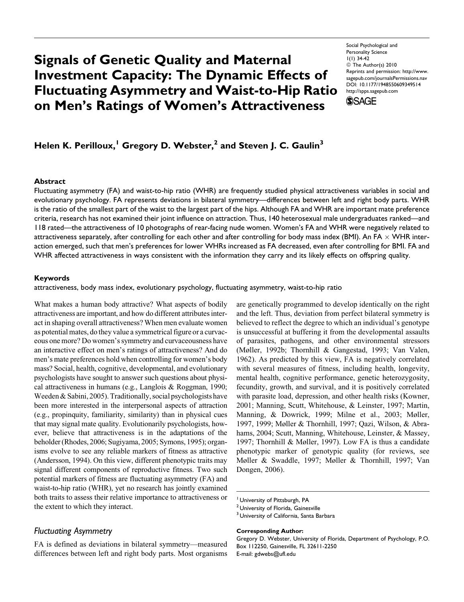# Signals of Genetic Quality and Maternal Investment Capacity: The Dynamic Effects of Fluctuating Asymmetry and Waist-to-Hip Ratio on Men's Ratings of Women's Attractiveness

Social Psychological and Personality Science 1(1) 34-42 © The Author(s) 2010 Reprints and permission: http://www. sagepub.com/journalsPermissions.nav DOI: 10.1177/1948550609349514 http://spps.sagepub.com **SSAGE** 

# Helen K. Perilloux,<sup>1</sup> Gregory D. Webster,<sup>2</sup> and Steven J. C. Gaulin<sup>3</sup>

#### **Abstract**

Fluctuating asymmetry (FA) and waist-to-hip ratio (WHR) are frequently studied physical attractiveness variables in social and evolutionary psychology. FA represents deviations in bilateral symmetry—differences between left and right body parts. WHR is the ratio of the smallest part of the waist to the largest part of the hips. Although FA and WHR are important mate preference criteria, research has not examined their joint influence on attraction. Thus, 140 heterosexual male undergraduates ranked—and 118 rated—the attractiveness of 10 photographs of rear-facing nude women. Women's FA and WHR were negatively related to attractiveness separately, after controlling for each other and after controlling for body mass index (BMI). An FA  $\times$  WHR interaction emerged, such that men's preferences for lower WHRs increased as FA decreased, even after controlling for BMI. FA and WHR affected attractiveness in ways consistent with the information they carry and its likely effects on offspring quality.

#### Keywords

attractiveness, body mass index, evolutionary psychology, fluctuating asymmetry, waist-to-hip ratio

What makes a human body attractive? What aspects of bodily attractiveness are important, and how do different attributes interact in shaping overall attractiveness? When men evaluate women as potential mates, do they value a symmetrical figure or a curvaceous one more? Do women's symmetry and curvaceousness have an interactive effect on men's ratings of attractiveness? And do men's mate preferences hold when controlling for women's body mass? Social, health, cognitive, developmental, and evolutionary psychologists have sought to answer such questions about physical attractiveness in humans (e.g., Langlois & Roggman, 1990; Weeden & Sabini, 2005). Traditionally, social psychologists have been more interested in the interpersonal aspects of attraction (e.g., propinquity, familiarity, similarity) than in physical cues that may signal mate quality. Evolutionarily psychologists, however, believe that attractiveness is in the adaptations of the beholder (Rhodes, 2006; Sugiyama, 2005; Symons, 1995); organisms evolve to see any reliable markers of fitness as attractive (Andersson, 1994). On this view, different phenotypic traits may signal different components of reproductive fitness. Two such potential markers of fitness are fluctuating asymmetry (FA) and waist-to-hip ratio (WHR), yet no research has jointly examined both traits to assess their relative importance to attractiveness or the extent to which they interact.

#### Fluctuating Asymmetry

FA is defined as deviations in bilateral symmetry—measured differences between left and right body parts. Most organisms are genetically programmed to develop identically on the right and the left. Thus, deviation from perfect bilateral symmetry is believed to reflect the degree to which an individual's genotype is unsuccessful at buffering it from the developmental assaults of parasites, pathogens, and other environmental stressors (Møller, 1992b; Thornhill & Gangestad, 1993; Van Valen, 1962). As predicted by this view, FA is negatively correlated with several measures of fitness, including health, longevity, mental health, cognitive performance, genetic heterozygosity, fecundity, growth, and survival, and it is positively correlated with parasite load, depression, and other health risks (Kowner, 2001; Manning, Scutt, Whitehouse, & Leinster, 1997; Martin, Manning, & Dowrick, 1999; Milne et al., 2003; Møller, 1997, 1999; Møller & Thornhill, 1997; Qazi, Wilson, & Abrahams, 2004; Scutt, Manning, Whitehouse, Leinster, & Massey, 1997; Thornhill & Møller, 1997). Low FA is thus a candidate phenotypic marker of genotypic quality (for reviews, see Møller & Swaddle, 1997; Møller & Thornhill, 1997; Van Dongen, 2006).

#### Corresponding Author:

<sup>&</sup>lt;sup>1</sup> University of Pittsburgh, PA

<sup>&</sup>lt;sup>2</sup> University of Florida, Gainesville

<sup>&</sup>lt;sup>3</sup> University of California, Santa Barbara

Gregory D. Webster, University of Florida, Department of Psychology, P.O. Box 112250, Gainesville, FL 32611-2250 E-mail: gdwebs@ufl.edu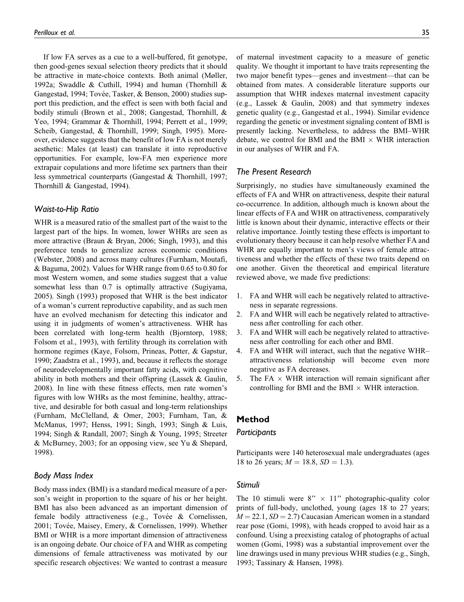If low FA serves as a cue to a well-buffered, fit genotype, then good-genes sexual selection theory predicts that it should be attractive in mate-choice contexts. Both animal (Møller, 1992a; Swaddle & Cuthill, 1994) and human (Thornhill & Gangestad, 1994; Tovée, Tasker, & Benson, 2000) studies support this prediction, and the effect is seen with both facial and bodily stimuli (Brown et al., 2008; Gangestad, Thornhill, & Yeo, 1994; Grammar & Thornhill, 1994; Perrett et al., 1999; Scheib, Gangestad, & Thornhill, 1999; Singh, 1995). Moreover, evidence suggests that the benefit of low FA is not merely aesthetic: Males (at least) can translate it into reproductive opportunities. For example, low-FA men experience more extrapair copulations and more lifetime sex partners than their less symmetrical counterparts (Gangestad & Thornhill, 1997; Thornhill & Gangestad, 1994).

#### Waist-to-Hip Ratio

WHR is a measured ratio of the smallest part of the waist to the largest part of the hips. In women, lower WHRs are seen as more attractive (Braun & Bryan, 2006; Singh, 1993), and this preference tends to generalize across economic conditions (Webster, 2008) and across many cultures (Furnham, Moutafi, & Baguma, 2002). Values for WHR range from 0.65 to 0.80 for most Western women, and some studies suggest that a value somewhat less than 0.7 is optimally attractive (Sugiyama, 2005). Singh (1993) proposed that WHR is the best indicator of a woman's current reproductive capability, and as such men have an evolved mechanism for detecting this indicator and using it in judgments of women's attractiveness. WHR has been correlated with long-term health (Bjorntorp, 1988; Folsom et al., 1993), with fertility through its correlation with hormone regimes (Kaye, Folsom, Prineas, Potter, & Gapstur, 1990; Zaadstra et al., 1993), and, because it reflects the storage of neurodevelopmentally important fatty acids, with cognitive ability in both mothers and their offspring (Lassek & Gaulin, 2008). In line with these fitness effects, men rate women's figures with low WHRs as the most feminine, healthy, attractive, and desirable for both casual and long-term relationships (Furnham, McClelland, & Omer, 2003; Furnham, Tan, & McManus, 1997; Henss, 1991; Singh, 1993; Singh & Luis, 1994; Singh & Randall, 2007; Singh & Young, 1995; Streeter & McBurney, 2003; for an opposing view, see Yu & Shepard, 1998).

# Body Mass Index

Body mass index (BMI) is a standard medical measure of a person's weight in proportion to the square of his or her height. BMI has also been advanced as an important dimension of female bodily attractiveness (e.g., Tovée & Cornelissen, 2001; Tovée, Maisey, Emery, & Cornelissen, 1999). Whether BMI or WHR is a more important dimension of attractiveness is an ongoing debate. Our choice of FA and WHR as competing dimensions of female attractiveness was motivated by our specific research objectives: We wanted to contrast a measure

of maternal investment capacity to a measure of genetic quality. We thought it important to have traits representing the two major benefit types—genes and investment—that can be obtained from mates. A considerable literature supports our assumption that WHR indexes maternal investment capacity (e.g., Lassek & Gaulin, 2008) and that symmetry indexes genetic quality (e.g., Gangestad et al., 1994). Similar evidence regarding the genetic or investment signaling content of BMI is presently lacking. Nevertheless, to address the BMI–WHR debate, we control for BMI and the BMI  $\times$  WHR interaction in our analyses of WHR and FA.

#### The Present Research

Surprisingly, no studies have simultaneously examined the effects of FA and WHR on attractiveness, despite their natural co-occurrence. In addition, although much is known about the linear effects of FA and WHR on attractiveness, comparatively little is known about their dynamic, interactive effects or their relative importance. Jointly testing these effects is important to evolutionary theory because it can help resolve whether FA and WHR are equally important to men's views of female attractiveness and whether the effects of these two traits depend on one another. Given the theoretical and empirical literature reviewed above, we made five predictions:

- 1. FA and WHR will each be negatively related to attractiveness in separate regressions.
- 2. FA and WHR will each be negatively related to attractiveness after controlling for each other.
- 3. FA and WHR will each be negatively related to attractiveness after controlling for each other and BMI.
- 4. FA and WHR will interact, such that the negative WHR– attractiveness relationship will become even more negative as FA decreases.
- 5. The  $FA \times WHR$  interaction will remain significant after controlling for BMI and the BMI  $\times$  WHR interaction.

# Method

#### Participants

Participants were 140 heterosexual male undergraduates (ages 18 to 26 years;  $M = 18.8$ ,  $SD = 1.3$ ).

#### Stimuli

The 10 stimuli were  $8'' \times 11''$  photographic-quality color prints of full-body, unclothed, young (ages 18 to 27 years;  $M = 22.1, SD = 2.7$  Caucasian American women in a standard rear pose (Gomi, 1998), with heads cropped to avoid hair as a confound. Using a preexisting catalog of photographs of actual women (Gomi, 1998) was a substantial improvement over the line drawings used in many previous WHR studies (e.g., Singh, 1993; Tassinary & Hansen, 1998).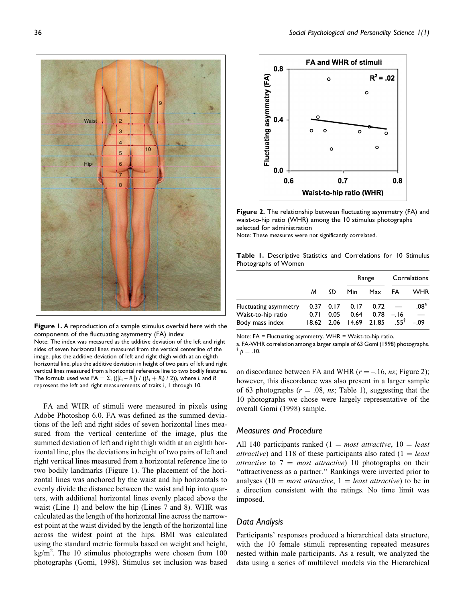

Figure 1. A reproduction of a sample stimulus overlaid here with the components of the fluctuating asymmetry (FA) index Note: The index was measured as the additive deviation of the left and right sides of seven horizontal lines measured from the vertical centerline of the image, plus the additive deviation of left and right thigh width at an eighth horizontal line, plus the additive deviation in height of two pairs of left and right vertical lines measured from a horizontal reference line to two bodily features. The formula used was FA  $=\Sigma_{\sf i}$  ((|L<sub>i</sub> – R<sub>i</sub>|) / ((L<sub>i</sub> + R<sub>i</sub>) / 2)), where L and R represent the left and right measurements of traits i, 1 through 10.

FA and WHR of stimuli were measured in pixels using Adobe Photoshop 6.0. FA was defined as the summed deviations of the left and right sides of seven horizontal lines measured from the vertical centerline of the image, plus the summed deviation of left and right thigh width at an eighth horizontal line, plus the deviations in height of two pairs of left and right vertical lines measured from a horizontal reference line to two bodily landmarks (Figure 1). The placement of the horizontal lines was anchored by the waist and hip horizontals to evenly divide the distance between the waist and hip into quarters, with additional horizontal lines evenly placed above the waist (Line 1) and below the hip (Lines 7 and 8). WHR was calculated as the length of the horizontal line across the narrowest point at the waist divided by the length of the horizontal line across the widest point at the hips. BMI was calculated using the standard metric formula based on weight and height,  $\text{kg/m}^2$ . The 10 stimulus photographs were chosen from 100 photographs (Gomi, 1998). Stimulus set inclusion was based



Figure 2. The relationship between fluctuating asymmetry (FA) and waist-to-hip ratio (WHR) among the 10 stimulus photographs selected for administration Note: These measures were not significantly correlated.

Table 1. Descriptive Statistics and Correlations for 10 Stimulus Photographs of Women

|                                                                       |      |      | Range                                                         |     | Correlations                   |                                                         |
|-----------------------------------------------------------------------|------|------|---------------------------------------------------------------|-----|--------------------------------|---------------------------------------------------------|
|                                                                       | м    | SD   | Min.                                                          | Max | FA                             | WHR                                                     |
| <b>Fluctuating asymmetry</b><br>Waist-to-hip ratio<br>Body mass index | 0.71 | 0.05 | $0.37$ $0.17$ $0.17$ $0.72$<br>0.64<br>18.62 2.06 14.69 21.85 |     | $0.78 - 16$<br>$-55^{\dagger}$ | .08 <sup>a</sup><br>$\overline{\phantom{m}}$<br>$-0.09$ |

Note: FA = Fluctuating asymmetry. WHR = Waist-to-hip ratio.

a. FA-WHR correlation among a larger sample of 63 Gomi (1998) photographs.  $\phi = .10$ .

on discordance between FA and WHR ( $r = -16$ , ns; Figure 2); however, this discordance was also present in a larger sample of 63 photographs ( $r = .08$ , ns; Table 1), suggesting that the 10 photographs we chose were largely representative of the overall Gomi (1998) sample.

# Measures and Procedure

All 140 participants ranked (1 = most attractive,  $10 =$  least *attractive*) and 118 of these participants also rated  $(1 = least$ attractive to  $7 = most attractive$ ) 10 photographs on their "attractiveness as a partner." Rankings were inverted prior to analyses (10 = most attractive, 1 = least attractive) to be in a direction consistent with the ratings. No time limit was imposed.

# Data Analysis

Participants' responses produced a hierarchical data structure, with the 10 female stimuli representing repeated measures nested within male participants. As a result, we analyzed the data using a series of multilevel models via the Hierarchical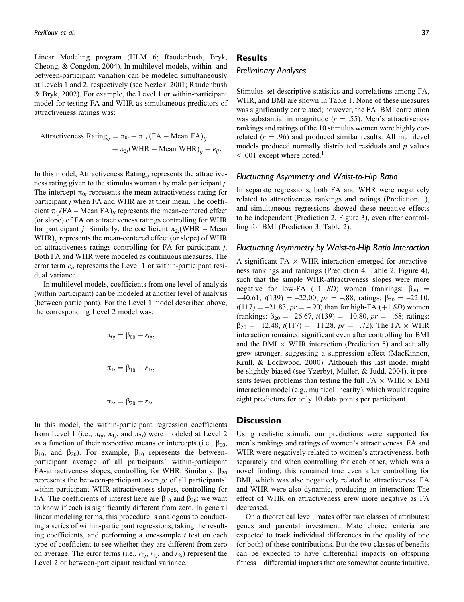Linear Modeling program (HLM 6; Raudenbush, Bryk, Cheong, & Congdon, 2004). In multilevel models, within- and between-participant variation can be modeled simultaneously at Levels 1 and 2, respectively (see Nezlek, 2001; Raudenbush & Bryk, 2002). For example, the Level 1 or within-participant model for testing FA and WHR as simultaneous predictors of attractiveness ratings was:

Attractiveness Rating<sub>ij</sub> =  $\pi_{0j} + \pi_{1j}$  (FA – Mean FA)<sub>ii</sub>  $+ \pi_{2j}(\text{WHR} - \text{Mean WHR})_{ii} + e_{ij}.$ 

In this model, Attractiveness Rating<sub>ij</sub> represents the attractiveness rating given to the stimulus woman i by male participant j. The intercept  $\pi_{0j}$  represents the mean attractiveness rating for participant  $j$  when FA and WHR are at their mean. The coefficient  $\pi_{1i}(FA - Mean FA)_{ii}$  represents the mean-centered effect (or slope) of FA on attractiveness ratings controlling for WHR for participant *j*. Similarly, the coefficient  $\pi_{2i}$ (WHR – Mean  $WHR)_{ii}$  represents the mean-centered effect (or slope) of WHR on attractiveness ratings controlling for FA for participant j. Both FA and WHR were modeled as continuous measures. The error term  $e_{ij}$  represents the Level 1 or within-participant residual variance.

In multilevel models, coefficients from one level of analysis (within participant) can be modeled at another level of analysis (between participant). For the Level 1 model described above, the corresponding Level 2 model was:

$$
\pi_{0j} = \beta_{00} + r_{0j},
$$
  

$$
\pi_{1j} = \beta_{10} + r_{1j},
$$
  

$$
\pi_{2j} = \beta_{20} + r_{2j}.
$$

In this model, the within-participant regression coefficients from Level 1 (i.e.,  $\pi_{0i}$ ,  $\pi_{1i}$ , and  $\pi_{2i}$ ) were modeled at Level 2 as a function of their respective means or intercepts (i.e.,  $\beta_{00}$ ,  $\beta_{10}$ , and  $\beta_{20}$ ). For example,  $\beta_{10}$  represents the betweenparticipant average of all participants' within-participant FA-attractiveness slopes, controlling for WHR. Similarly,  $\beta_{20}$ represents the between-participant average of all participants' within-participant WHR-attractiveness slopes, controlling for FA. The coefficients of interest here are  $\beta_{10}$  and  $\beta_{20}$ ; we want to know if each is significantly different from zero. In general linear modeling terms, this procedure is analogous to conducting a series of within-participant regressions, taking the resulting coefficients, and performing a one-sample  $t$  test on each type of coefficient to see whether they are different from zero on average. The error terms (i.e.,  $r_{0i}$ ,  $r_{1i}$ , and  $r_{2i}$ ) represent the Level 2 or between-participant residual variance.

# **Results**

#### Preliminary Analyses

Stimulus set descriptive statistics and correlations among FA, WHR, and BMI are shown in Table 1. None of these measures was significantly correlated; however, the FA–BMI correlation was substantial in magnitude ( $r = .55$ ). Men's attractiveness rankings and ratings of the 10 stimulus women were highly correlated ( $r = .96$ ) and produced similar results. All multilevel models produced normally distributed residuals and  $p$  values  $\leq$  0.01 except where noted.<sup>1</sup>

#### Fluctuating Asymmetry and Waist-to-Hip Ratio

In separate regressions, both FA and WHR were negatively related to attractiveness rankings and ratings (Prediction 1), and simultaneous regressions showed these negative effects to be independent (Prediction 2, Figure 3), even after controlling for BMI (Prediction 3, Table 2).

#### Fluctuating Asymmetry by Waist-to-Hip Ratio Interaction

A significant  $FA \times WHR$  interaction emerged for attractiveness rankings and rankings (Prediction 4, Table 2, Figure 4), such that the simple WHR-attractiveness slopes were more negative for low-FA (-1 SD) women (rankings:  $\beta_{20}$  =  $-40.61$ ,  $t(139) = -22.00$ ,  $pr = -.88$ ; ratings:  $\beta_{20} = -22.10$ ,  $t(117) = -21.83$ ,  $pr = -.90$ ) than for high-FA (+1 SD) women (rankings:  $\beta_{20} = -26.67$ ,  $t(139) = -10.80$ ,  $pr = -.68$ ; ratings:  $\beta_{20} = -12.48$ ,  $t(117) = -11.28$ ,  $pr = -.72$ ). The FA  $\times$  WHR interaction remained significant even after controlling for BMI and the BMI  $\times$  WHR interaction (Prediction 5) and actually grew stronger, suggesting a suppression effect (MacKinnon, Krull, & Lockwood, 2000). Although this last model might be slightly biased (see Yzerbyt, Muller, & Judd, 2004), it presents fewer problems than testing the full  $FA \times WHR \times BMI$ interaction model (e.g., multicollinearity), which would require eight predictors for only 10 data points per participant.

#### Discussion

Using realistic stimuli, our predictions were supported for men's rankings and ratings of women's attractiveness. FA and WHR were negatively related to women's attractiveness, both separately and when controlling for each other, which was a novel finding; this remained true even after controlling for BMI, which was also negatively related to attractiveness. FA and WHR were also dynamic, producing an interaction: The effect of WHR on attractiveness grew more negative as FA decreased.

On a theoretical level, mates offer two classes of attributes: genes and parental investment. Mate choice criteria are expected to track individual differences in the quality of one (or both) of these contributions. But the two classes of benefits can be expected to have differential impacts on offspring fitness—differential impacts that are somewhat counterintuitive.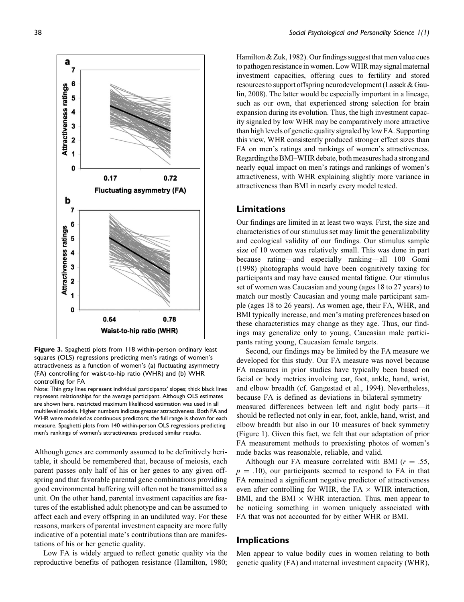

Figure 3. Spaghetti plots from 118 within-person ordinary least squares (OLS) regressions predicting men's ratings of women's attractiveness as a function of women's (a) fluctuating asymmetry (FA) controlling for waist-to-hip ratio (WHR) and (b) WHR controlling for FA

Although genes are commonly assumed to be definitively heritable, it should be remembered that, because of meiosis, each parent passes only half of his or her genes to any given offspring and that favorable parental gene combinations providing good environmental buffering will often not be transmitted as a unit. On the other hand, parental investment capacities are features of the established adult phenotype and can be assumed to affect each and every offspring in an undiluted way. For these reasons, markers of parental investment capacity are more fully indicative of a potential mate's contributions than are manifestations of his or her genetic quality.

Low FA is widely argued to reflect genetic quality via the reproductive benefits of pathogen resistance (Hamilton, 1980; Hamilton & Zuk, 1982). Our findings suggest that men value cues to pathogen resistance in women. LowWHR may signal maternal investment capacities, offering cues to fertility and stored resources to support offspring neurodevelopment (Lassek & Gaulin, 2008). The latter would be especially important in a lineage, such as our own, that experienced strong selection for brain expansion during its evolution. Thus, the high investment capacity signaled by low WHR may be comparatively more attractive than high levels of genetic quality signaled by low FA. Supporting this view, WHR consistently produced stronger effect sizes than FA on men's ratings and rankings of women's attractiveness. Regarding the BMI–WHR debate, both measures had a strong and nearly equal impact on men's ratings and rankings of women's attractiveness, with WHR explaining slightly more variance in attractiveness than BMI in nearly every model tested.

#### Limitations

Our findings are limited in at least two ways. First, the size and characteristics of our stimulus set may limit the generalizability and ecological validity of our findings. Our stimulus sample size of 10 women was relatively small. This was done in part because rating—and especially ranking—all 100 Gomi (1998) photographs would have been cognitively taxing for participants and may have caused mental fatigue. Our stimulus set of women was Caucasian and young (ages 18 to 27 years) to match our mostly Caucasian and young male participant sample (ages 18 to 26 years). As women age, their FA, WHR, and BMI typically increase, and men's mating preferences based on these characteristics may change as they age. Thus, our findings may generalize only to young, Caucasian male participants rating young, Caucasian female targets.

Second, our findings may be limited by the FA measure we developed for this study. Our FA measure was novel because FA measures in prior studies have typically been based on facial or body metrics involving ear, foot, ankle, hand, wrist, and elbow breadth (cf. Gangestad et al., 1994). Nevertheless, because FA is defined as deviations in bilateral symmetry measured differences between left and right body parts—it should be reflected not only in ear, foot, ankle, hand, wrist, and elbow breadth but also in our 10 measures of back symmetry (Figure 1). Given this fact, we felt that our adaptation of prior FA measurement methods to preexisting photos of women's nude backs was reasonable, reliable, and valid.

Although our FA measure correlated with BMI ( $r = .55$ ,  $p = .10$ , our participants seemed to respond to FA in that FA remained a significant negative predictor of attractiveness even after controlling for WHR, the FA  $\times$  WHR interaction, BMI, and the BMI  $\times$  WHR interaction. Thus, men appear to be noticing something in women uniquely associated with FA that was not accounted for by either WHR or BMI.

## Implications

Men appear to value bodily cues in women relating to both genetic quality (FA) and maternal investment capacity (WHR),

Note: Thin gray lines represent individual participants' slopes; thick black lines represent relationships for the average participant. Although OLS estimates are shown here, restricted maximum likelihood estimation was used in all multilevel models. Higher numbers indicate greater attractiveness. Both FA and WHR were modeled as continuous predictors; the full range is shown for each measure. Spaghetti plots from 140 within-person OLS regressions predicting men's rankings of women's attractiveness produced similar results.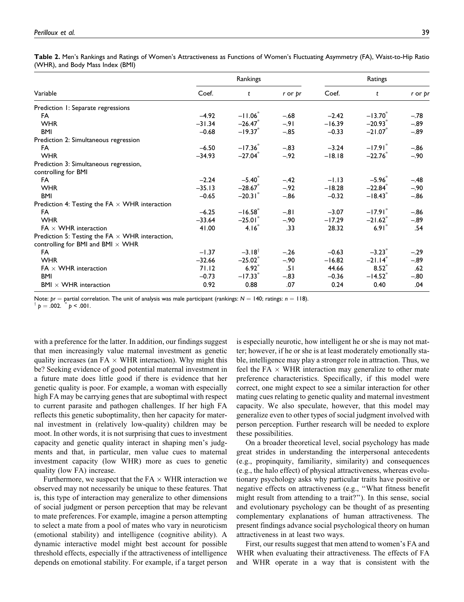| <b>Table 2.</b> Men's Rankings and Ratings of Women's Attractiveness as Functions of Women's Fluctuating Asymmetry (FA), Waist-to-Hip Ratio |  |  |
|---------------------------------------------------------------------------------------------------------------------------------------------|--|--|
| (WHR), and Body Mass Index (BMI)                                                                                                            |  |  |

|                                                        | Rankings |                       |         | Ratings  |                       |         |
|--------------------------------------------------------|----------|-----------------------|---------|----------|-----------------------|---------|
| Variable                                               | Coef.    | t                     | r or pr | Coef.    | t                     | r or pr |
| Prediction 1: Separate regressions                     |          |                       |         |          |                       |         |
| FA                                                     | $-4.92$  | $-11.06$              | $-.68$  | $-2.42$  | $-13.70^{*}$          | $-.78$  |
| <b>WHR</b>                                             | $-31.34$ | $-26.47$              | $-.91$  | $-16.39$ | $-20.93$ <sup>*</sup> | $-.89$  |
| <b>BMI</b>                                             | $-0.68$  | $-19.37$              | $-.85$  | $-0.33$  | $-21.07$ <sup>*</sup> | $-.89$  |
| Prediction 2: Simultaneous regression                  |          |                       |         |          |                       |         |
| FA                                                     | $-6.50$  | $-17.36$              | $-.83$  | $-3.24$  | $-17.91$ <sup>*</sup> | $-.86$  |
| <b>WHR</b>                                             | $-34.93$ | $-27.04$ <sup>*</sup> | $-.92$  | $-18.18$ | $-22.76$              | $-.90$  |
| Prediction 3: Simultaneous regression,                 |          |                       |         |          |                       |         |
| controlling for BMI                                    |          |                       |         |          |                       |         |
| FA                                                     | $-2.24$  | $-5.40^{\circ}$       | $-.42$  | $-1.13$  | $-5.96$               | $-.48$  |
| <b>WHR</b>                                             | $-35.13$ | $-28.67$              | $-.92$  | $-18.28$ | $-22.84$ <sup>*</sup> | $-.90$  |
| <b>BMI</b>                                             | $-0.65$  | $-20.31$              | $-.86$  | $-0.32$  | $-18.43$              | $-.86$  |
| Prediction 4: Testing the FA $\times$ WHR interaction  |          |                       |         |          |                       |         |
| FA                                                     | $-6.25$  | $-16.58$              | $-.81$  | $-3.07$  | $-17.91$ <sup>*</sup> | $-.86$  |
| <b>WHR</b>                                             | $-33.64$ | $-25.01$              | $-.90$  | $-17.29$ | $-21.62$ <sup>*</sup> | $-.89$  |
| $FA \times WHR$ interaction                            | 41.00    | 4.16 <sup>°</sup>     | .33     | 28.32    | 6.91                  | .54     |
| Prediction 5: Testing the FA $\times$ WHR interaction, |          |                       |         |          |                       |         |
| controlling for BMI and BMI $\times$ WHR               |          |                       |         |          |                       |         |
| FA                                                     | $-1.37$  | $-3.18$ <sup>t</sup>  | $-.26$  | $-0.63$  | $-3.23$ <sup>*</sup>  | $-.29$  |
| <b>WHR</b>                                             | $-32.66$ | $-25.02$              | $-.90$  | $-16.82$ | $-21.14$ <sup>*</sup> | $-.89$  |
| FA $\times$ WHR interaction                            | 71.12    | $6.92*$               | .51     | 44.66    | $8.52^{*}$            | .62     |
| <b>BMI</b>                                             | $-0.73$  | $-17.33*$             | $-.83$  | $-0.36$  | $-14.52$              | $-.80$  |
| $BMI \times WHR$ interaction                           | 0.92     | 0.88                  | .07     | 0.24     | 0.40                  | .04     |

Note:  $pr =$  partial correlation. The unit of analysis was male participant (rankings:  $N = 140$ ; ratings:  $n = 118$ ).  $\phi = .002.$   $\phi$  < .001.

with a preference for the latter. In addition, our findings suggest that men increasingly value maternal investment as genetic quality increases (an  $FA \times WHR$  interaction). Why might this be? Seeking evidence of good potential maternal investment in a future mate does little good if there is evidence that her genetic quality is poor. For example, a woman with especially high FA may be carrying genes that are suboptimal with respect to current parasite and pathogen challenges. If her high FA reflects this genetic suboptimality, then her capacity for maternal investment in (relatively low-quality) children may be moot. In other words, it is not surprising that cues to investment capacity and genetic quality interact in shaping men's judgments and that, in particular, men value cues to maternal investment capacity (low WHR) more as cues to genetic quality (low FA) increase.

Furthermore, we suspect that the  $FA \times WHR$  interaction we observed may not necessarily be unique to these features. That is, this type of interaction may generalize to other dimensions of social judgment or person perception that may be relevant to mate preferences. For example, imagine a person attempting to select a mate from a pool of mates who vary in neuroticism (emotional stability) and intelligence (cognitive ability). A dynamic interactive model might best account for possible threshold effects, especially if the attractiveness of intelligence depends on emotional stability. For example, if a target person is especially neurotic, how intelligent he or she is may not matter; however, if he or she is at least moderately emotionally stable, intelligence may play a stronger role in attraction. Thus, we feel the  $FA \times WHR$  interaction may generalize to other mate preference characteristics. Specifically, if this model were correct, one might expect to see a similar interaction for other mating cues relating to genetic quality and maternal investment capacity. We also speculate, however, that this model may generalize even to other types of social judgment involved with person perception. Further research will be needed to explore these possibilities.

On a broader theoretical level, social psychology has made great strides in understanding the interpersonal antecedents (e.g., propinquity, familiarity, similarity) and consequences (e.g., the halo effect) of physical attractiveness, whereas evolutionary psychology asks why particular traits have positive or negative effects on attractiveness (e.g., ''What fitness benefit might result from attending to a trait?''). In this sense, social and evolutionary psychology can be thought of as presenting complementary explanations of human attractiveness. The present findings advance social psychological theory on human attractiveness in at least two ways.

First, our results suggest that men attend to women's FA and WHR when evaluating their attractiveness. The effects of FA and WHR operate in a way that is consistent with the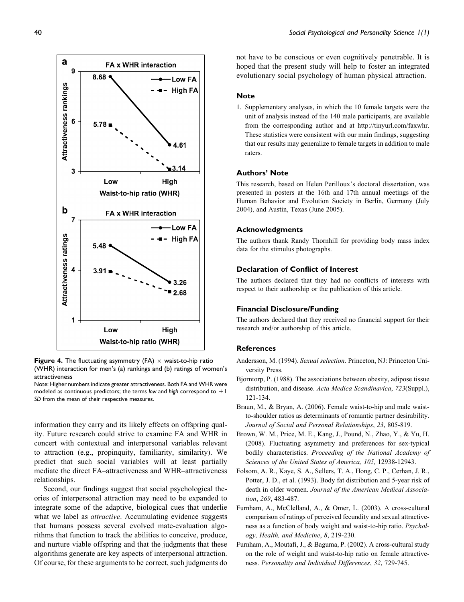

**Figure 4.** The fluctuating asymmetry (FA)  $\times$  waist-to-hip ratio (WHR) interaction for men's (a) rankings and (b) ratings of women's attractiveness

Note: Higher numbers indicate greater attractiveness. Both FA and WHR were modeled as continuous predictors; the terms low and high correspond to  $\pm 1$ SD from the mean of their respective measures.

information they carry and its likely effects on offspring quality. Future research could strive to examine FA and WHR in concert with contextual and interpersonal variables relevant to attraction (e.g., propinquity, familiarity, similarity). We predict that such social variables will at least partially mediate the direct FA–attractiveness and WHR–attractiveness relationships.

Second, our findings suggest that social psychological theories of interpersonal attraction may need to be expanded to integrate some of the adaptive, biological cues that underlie what we label as *attractive*. Accumulating evidence suggests that humans possess several evolved mate-evaluation algorithms that function to track the abilities to conceive, produce, and nurture viable offspring and that the judgments that these algorithms generate are key aspects of interpersonal attraction. Of course, for these arguments to be correct, such judgments do not have to be conscious or even cognitively penetrable. It is hoped that the present study will help to foster an integrated evolutionary social psychology of human physical attraction.

#### **Note**

1. Supplementary analyses, in which the 10 female targets were the unit of analysis instead of the 140 male participants, are available from the corresponding author and at http://tinyurl.com/faxwhr. These statistics were consistent with our main findings, suggesting that our results may generalize to female targets in addition to male raters.

#### Authors' Note

This research, based on Helen Perilloux's doctoral dissertation, was presented in posters at the 16th and 17th annual meetings of the Human Behavior and Evolution Society in Berlin, Germany (July 2004), and Austin, Texas (June 2005).

#### Acknowledgments

The authors thank Randy Thornhill for providing body mass index data for the stimulus photographs.

#### Declaration of Conflict of Interest

The authors declared that they had no conflicts of interests with respect to their authorship or the publication of this article.

#### Financial Disclosure/Funding

The authors declared that they received no financial support for their research and/or authorship of this article.

#### **References**

- Andersson, M. (1994). Sexual selection. Princeton, NJ: Princeton University Press.
- Bjorntorp, P. (1988). The associations between obesity, adipose tissue distribution, and disease. Acta Medica Scandinavica, 723(Suppl.), 121-134.
- Braun, M., & Bryan, A. (2006). Female waist-to-hip and male waistto-shoulder ratios as determinants of romantic partner desirability. Journal of Social and Personal Relationships, 23, 805-819.
- Brown, W. M., Price, M. E., Kang, J., Pound, N., Zhao, Y., & Yu, H. (2008). Fluctuating asymmetry and preferences for sex-typical bodily characteristics. Proceeding of the National Academy of Sciences of the United States of America, 105, 12938-12943.
- Folsom, A. R., Kaye, S. A., Sellers, T. A., Hong, C. P., Cerhan, J. R., Potter, J. D., et al. (1993). Body fat distribution and 5-year risk of death in older women. Journal of the American Medical Association, 269, 483-487.
- Furnham, A., McClelland, A., & Omer, L. (2003). A cross-cultural comparison of ratings of perceived fecundity and sexual attractiveness as a function of body weight and waist-to-hip ratio. Psychology, Health, and Medicine, 8, 219-230.
- Furnham, A., Moutafi, J., & Baguma, P. (2002). A cross-cultural study on the role of weight and waist-to-hip ratio on female attractiveness. Personality and Individual Differences, 32, 729-745.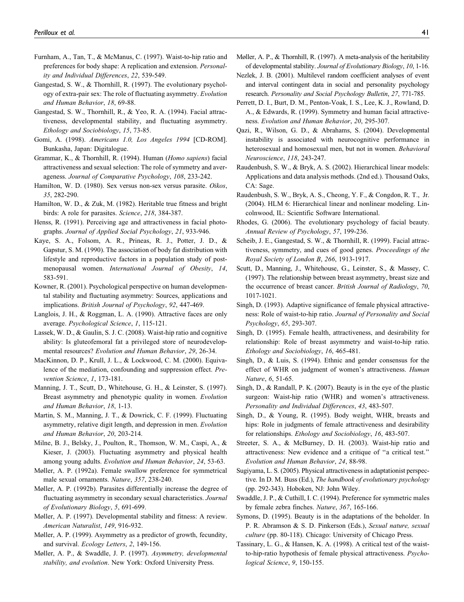- Furnham, A., Tan, T., & McManus, C. (1997). Waist-to-hip ratio and preferences for body shape: A replication and extension. Personality and Individual Differences, 22, 539-549.
- Gangestad, S. W., & Thornhill, R. (1997). The evolutionary psychology of extra-pair sex: The role of fluctuating asymmetry. Evolution and Human Behavior, 18, 69-88.
- Gangestad, S. W., Thornhill, R., & Yeo, R. A. (1994). Facial attractiveness, developmental stability, and fluctuating asymmetry. Ethology and Sociobiology, 15, 73-85.
- Gomi, A. (1998). Americans 1.0, Los Angeles 1994 [CD-ROM]. Bunkasha, Japan: Digitalogue.
- Grammar, K., & Thornhill, R. (1994). Human (Homo sapiens) facial attractiveness and sexual selection: The role of symmetry and averageness. Journal of Comparative Psychology, 108, 233-242.
- Hamilton, W. D. (1980). Sex versus non-sex versus parasite. Oikos, 35, 282-290.
- Hamilton, W. D., & Zuk, M. (1982). Heritable true fitness and bright birds: A role for parasites. Science, 218, 384-387.
- Henss, R. (1991). Perceiving age and attractiveness in facial photographs. Journal of Applied Social Psychology, 21, 933-946.
- Kaye, S. A., Folsom, A. R., Prineas, R. J., Potter, J. D., & Gapstur, S. M. (1990). The association of body fat distribution with lifestyle and reproductive factors in a population study of postmenopausal women. International Journal of Obesity, 14, 583-591.
- Kowner, R. (2001). Psychological perspective on human developmental stability and fluctuating asymmetry: Sources, applications and implications. British Journal of Psychology, 92, 447-469.
- Langlois, J. H., & Roggman, L. A. (1990). Attractive faces are only average. Psychological Science, 1, 115-121.
- Lassek, W. D., & Gaulin, S. J. C. (2008). Waist-hip ratio and cognitive ability: Is gluteofemoral fat a privileged store of neurodevelopmental resources? Evolution and Human Behavior, 29, 26-34.
- MacKinnon, D. P., Krull, J. L., & Lockwood, C. M. (2000). Equivalence of the mediation, confounding and suppression effect. Prevention Science, 1, 173-181.
- Manning, J. T., Scutt, D., Whitehouse, G. H., & Leinster, S. (1997). Breast asymmetry and phenotypic quality in women. Evolution and Human Behavior, 18, 1-13.
- Martin, S. M., Manning, J. T., & Dowrick, C. F. (1999). Fluctuating asymmetry, relative digit length, and depression in men. Evolution and Human Behavior, 20, 203-214.
- Milne, B. J., Belsky, J., Poulton, R., Thomson, W. M., Caspi, A., & Kieser, J. (2003). Fluctuating asymmetry and physical health among young adults. Evolution and Human Behavior, 24, 53-63.
- Møller, A. P. (1992a). Female swallow preference for symmetrical male sexual ornaments. Nature, 357, 238-240.
- Møller, A. P. (1992b). Parasites differentially increase the degree of fluctuating asymmetry in secondary sexual characteristics. Journal of Evolutionary Biology, 5, 691-699.
- Møller, A. P. (1997). Developmental stability and fitness: A review. American Naturalist, 149, 916-932.
- Møller, A. P. (1999). Asymmetry as a predictor of growth, fecundity, and survival. Ecology Letters, 2, 149-156.
- Møller, A. P., & Swaddle, J. P. (1997). Asymmetry, developmental stability, and evolution. New York: Oxford University Press.
- Møller, A. P., & Thornhill, R. (1997). A meta-analysis of the heritability of developmental stability. Journal of Evolutionary Biology, 10, 1-16.
- Nezlek, J. B. (2001). Multilevel random coefficient analyses of event and interval contingent data in social and personality psychology research. Personality and Social Psychology Bulletin, 27, 771-785.
- Perrett, D. I., Burt, D. M., Penton-Voak, I. S., Lee, K. J., Rowland, D. A., & Edwards, R. (1999). Symmetry and human facial attractiveness. Evolution and Human Behavior, 20, 295-307.
- Qazi, R., Wilson, G. D., & Abrahams, S. (2004). Developmental instability is associated with neurocognitive performance in heterosexual and homosexual men, but not in women. Behavioral Neuroscience, 118, 243-247.
- Raudenbush, S. W., & Bryk, A. S. (2002). Hierarchical linear models: Applications and data analysis methods. (2nd ed.). Thousand Oaks, CA: Sage.
- Raudenbush, S. W., Bryk, A. S., Cheong, Y. F., & Congdon, R. T., Jr. (2004). HLM 6: Hierarchical linear and nonlinear modeling. Lincolnwood, IL: Scientific Software International.
- Rhodes, G. (2006). The evolutionary psychology of facial beauty. Annual Review of Psychology, 57, 199-236.
- Scheib, J. E., Gangestad, S. W., & Thornhill, R. (1999). Facial attractiveness, symmetry, and cues of good genes. Proceedings of the Royal Society of London B, 266, 1913-1917.
- Scutt, D., Manning, J., Whitehouse, G., Leinster, S., & Massey, C. (1997). The relationship between breast asymmetry, breast size and the occurrence of breast cancer. British Journal of Radiology, 70, 1017-1021.
- Singh, D. (1993). Adaptive significance of female physical attractiveness: Role of waist-to-hip ratio. Journal of Personality and Social Psychology, 65, 293-307.
- Singh, D. (1995). Female health, attractiveness, and desirability for relationship: Role of breast asymmetry and waist-to-hip ratio. Ethology and Sociobiology, 16, 465-481.
- Singh, D., & Luis, S. (1994). Ethnic and gender consensus for the effect of WHR on judgment of women's attractiveness. Human Nature, 6, 51-65.
- Singh, D., & Randall, P. K. (2007). Beauty is in the eye of the plastic surgeon: Waist-hip ratio (WHR) and women's attractiveness. Personality and Individual Differences, 43, 483-507.
- Singh, D., & Young, R. (1995). Body weight, WHR, breasts and hips: Role in judgments of female attractiveness and desirability for relationships. Ethology and Sociobiology, 16, 483-507.
- Streeter, S. A., & McBurney, D. H. (2003). Waist-hip ratio and attractiveness: New evidence and a critique of ''a critical test.'' Evolution and Human Behavior, 24, 88-98.
- Sugiyama, L. S. (2005). Physical attractiveness in adaptationist perspective. In D. M. Buss (Ed.), The handbook of evolutionary psychology (pp. 292-343). Hoboken, NJ: John Wiley.
- Swaddle, J. P., & Cuthill, I. C. (1994). Preference for symmetric males by female zebra finches. Nature, 367, 165-166.
- Symons, D. (1995). Beauty is in the adaptations of the beholder. In P. R. Abramson & S. D. Pinkerson (Eds.), Sexual nature, sexual culture (pp. 80-118). Chicago: University of Chicago Press.
- Tassinary, L. G., & Hansen, K. A. (1998). A critical test of the waistto-hip-ratio hypothesis of female physical attractiveness. Psychological Science, 9, 150-155.